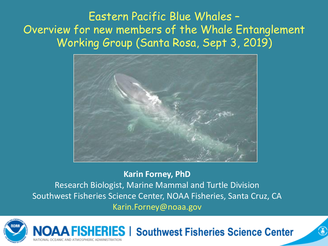Eastern Pacific Blue Whales – Overview for new members of the Whale Entanglement Working Group (Santa Rosa, Sept 3, 2019)



**Karin Forney, PhD** Research Biologist, Marine Mammal and Turtle Division Southwest Fisheries Science Center, NOAA Fisheries, Santa Cruz, CA Karin.Forney@noaa.gov



**FISHERIES | Southwest Fisheries Science Center**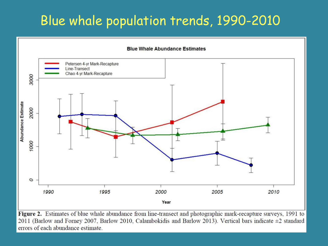# Blue whale population trends, 1990-2010



Figure 2. Estimates of blue whale abundance from line-transect and photographic mark-recapture surveys, 1991 to 2011 (Barlow and Forney 2007, Barlow 2010, Calambokidis and Barlow 2013). Vertical bars indicate ±2 standard errors of each abundance estimate.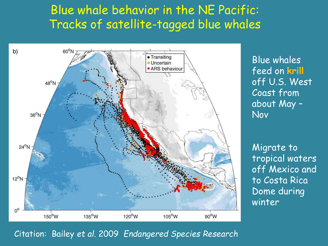## Blue whale behavior in the NE Pacific: Tracks of satellite-tagged blue whales



Blue whales feed on **krill** off U.S. West Coast from about May – Nov

Migrate to tropical waters off Mexico and to Costa Rica Dome during winter

#### Citation: Bailey *et al*. 2009 *Endangered Species Research*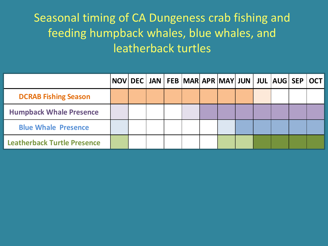## Seasonal timing of CA Dungeness crab fishing and feeding humpback whales, blue whales, and leatherback turtles

|                                    |  |  |  |  | NOV DEC JAN FEB MAR APR MAY JUN JUL AUG SEP OCT |  |
|------------------------------------|--|--|--|--|-------------------------------------------------|--|
| <b>DCRAB Fishing Season</b>        |  |  |  |  |                                                 |  |
| <b>Humpback Whale Presence</b>     |  |  |  |  |                                                 |  |
| <b>Blue Whale Presence</b>         |  |  |  |  |                                                 |  |
| <b>Leatherback Turtle Presence</b> |  |  |  |  |                                                 |  |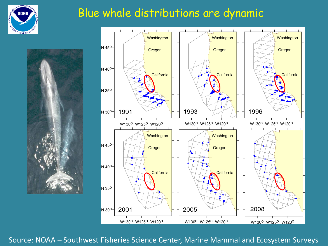

### Blue whale distributions are dynamic





Source: NOAA – Southwest Fisheries Science Center, Marine Mammal and Ecosystem Surveys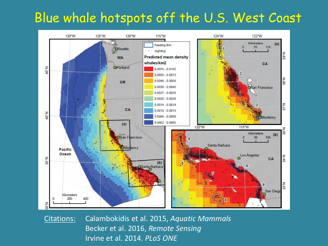## Blue whale hotspots off the U.S. West Coast



Citations: Calambokidis et al. 2015, *Aquatic Mammals* Becker et al. 2016, *Remote Sensing* Irvine et al. 2014. *PLoS ONE*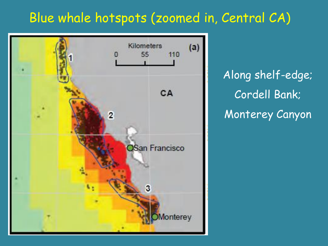# Blue whale hotspots (zoomed in, Central CA)



Along shelf-edge; Cordell Bank; Monterey Canyon